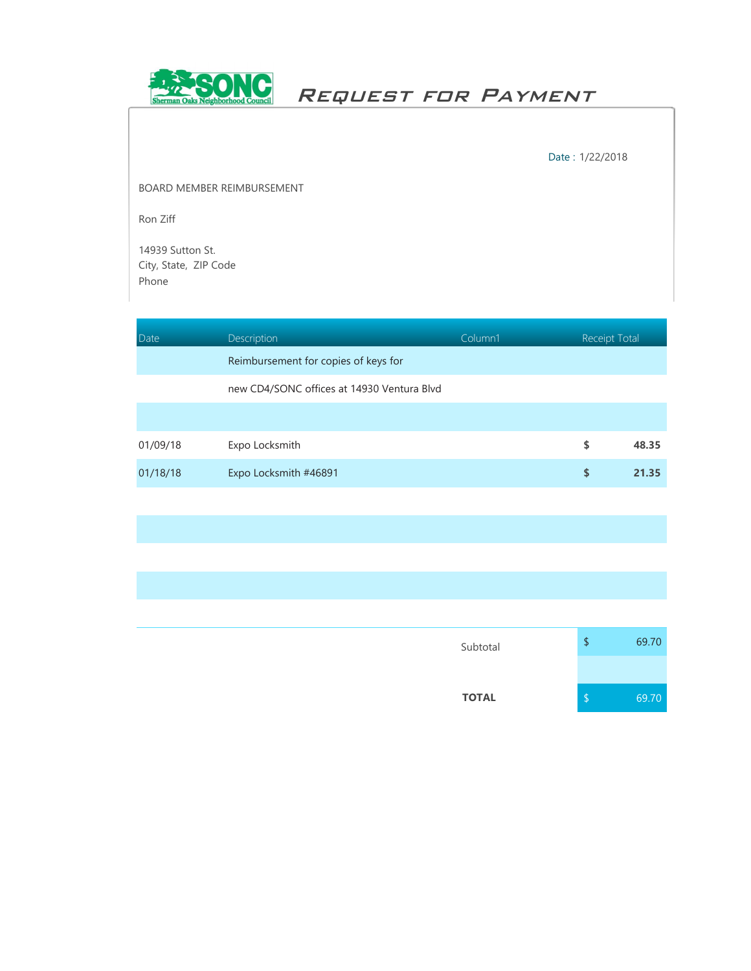

Request for Payment

Date : 1/22/2018

BOARD MEMBER REIMBURSEMENT

Ron Ziff

14939 Sutton St. City, State, ZIP Code Phone

| Date     | Description                                | Column1 | <b>Receipt Total</b> |       |
|----------|--------------------------------------------|---------|----------------------|-------|
|          | Reimbursement for copies of keys for       |         |                      |       |
|          | new CD4/SONC offices at 14930 Ventura Blvd |         |                      |       |
|          |                                            |         |                      |       |
| 01/09/18 | Expo Locksmith                             |         | \$                   | 48.35 |
| 01/18/18 | Expo Locksmith #46891                      |         | \$                   | 21.35 |
|          |                                            |         |                      |       |

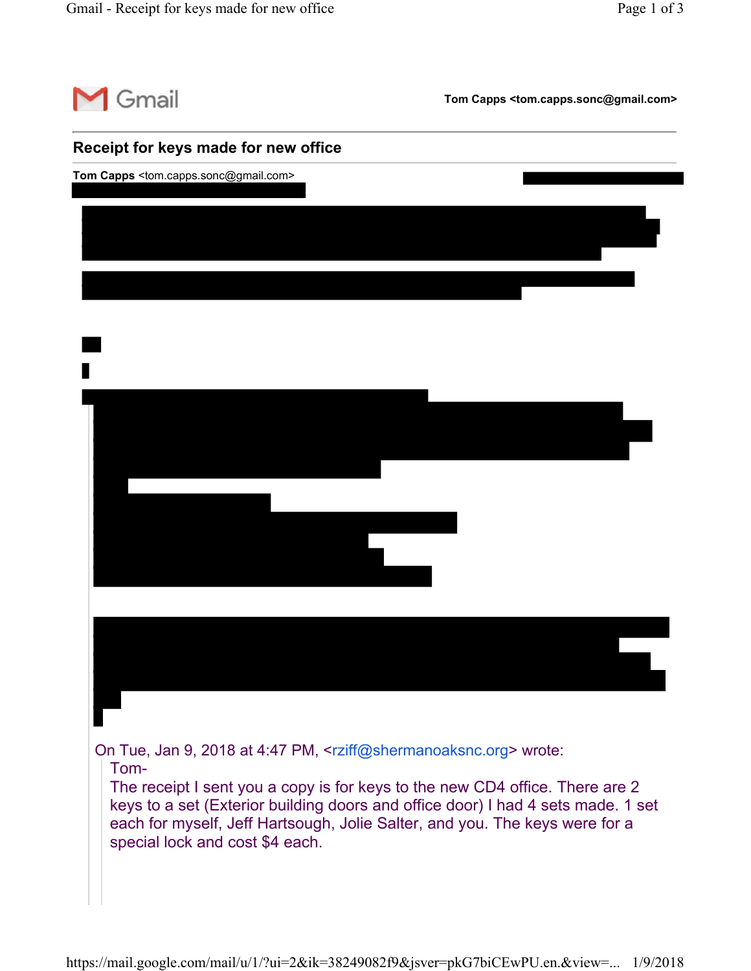

**Tom Capps <tom.capps.sonc@gmail.com>**

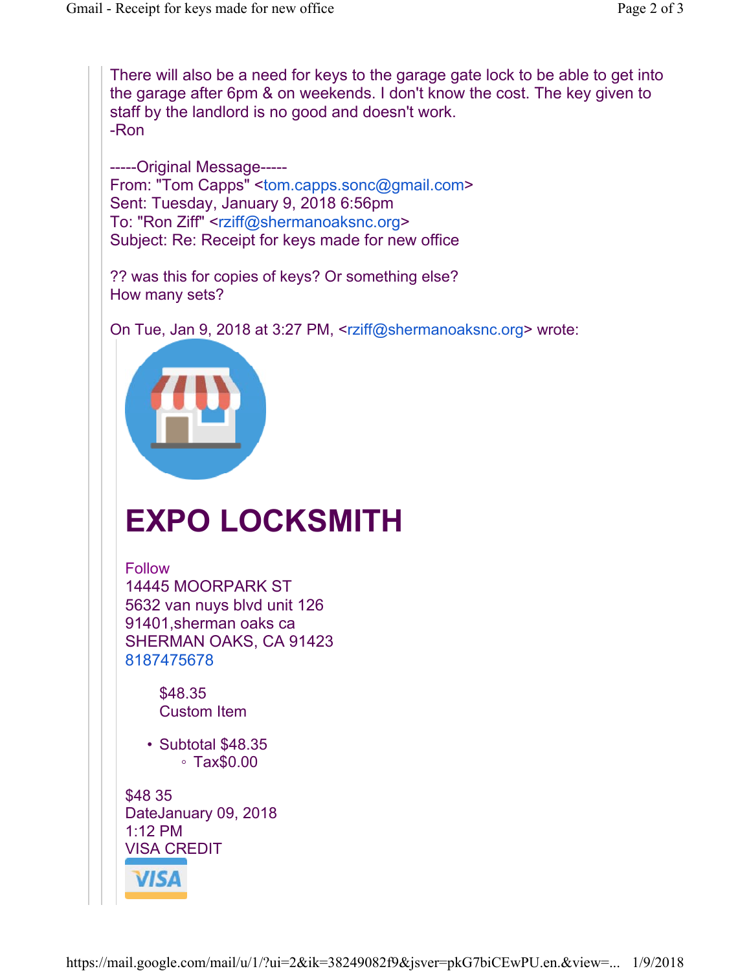There will also be a need for keys to the garage gate lock to be able to get into the garage after 6pm & on weekends. I don't know the cost. The key given to staff by the landlord is no good and doesn't work. -Ron

-----Original Message----- From: "Tom Capps" <tom.capps.sonc@gmail.com> Sent: Tuesday, January 9, 2018 6:56pm To: "Ron Ziff" <rziff@shermanoaksnc.org> Subject: Re: Receipt for keys made for new office

?? was this for copies of keys? Or something else? How many sets?

On Tue, Jan 9, 2018 at 3:27 PM, <rziff@shermanoaksnc.org> wrote:



## **EXPO LOCKSMITH**

Follow 14445 MOORPARK ST 5632 van nuys blvd unit 126 91401,sherman oaks ca SHERMAN OAKS, CA 91423 8187475678

> \$48.35 Custom Item

• Subtotal \$48.35 ◦ Tax\$0.00

\$48 35 DateJanuary 09, 2018 1:12 PM VISA CREDIT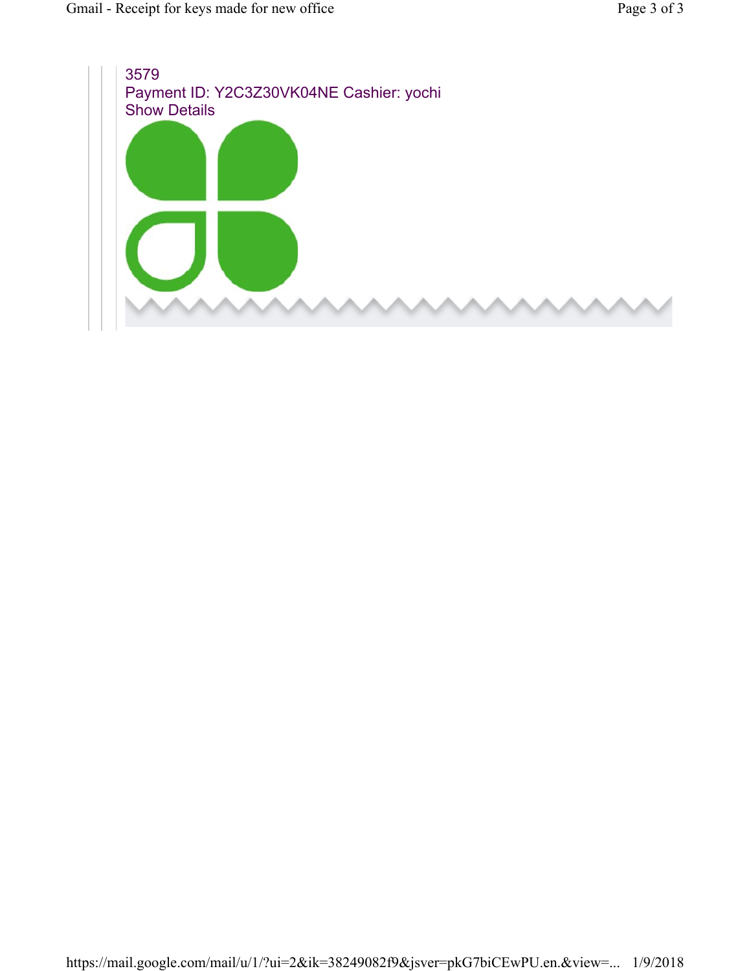